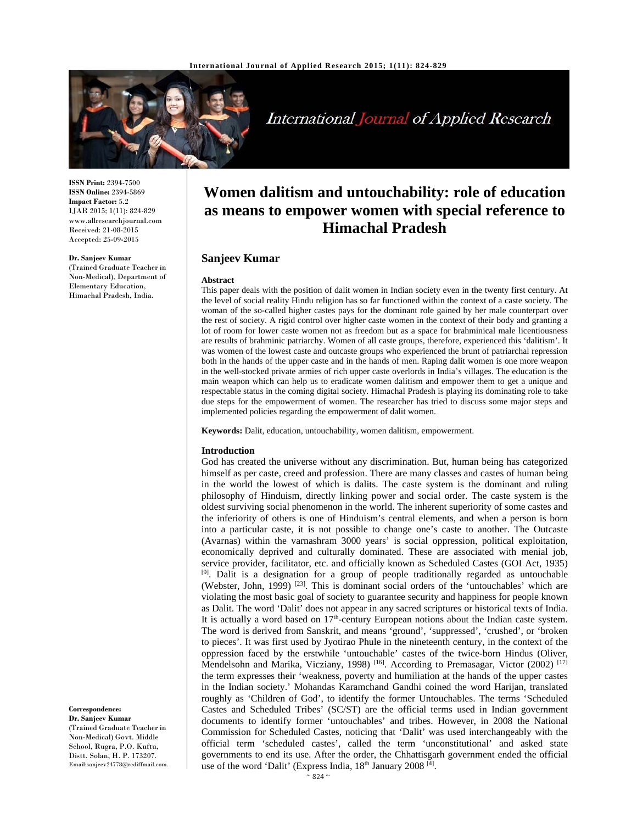

International Journal of Applied Research

**ISSN Print:** 2394-7500 **ISSN Online:** 2394-5869 **Impact Factor:** 5.2 IJAR 2015; 1(11): 824-829 www.allresearchjournal.com Received: 21-08-2015 Accepted: 25-09-2015

**Dr. Sanjeev Kumar** 

(Trained Graduate Teacher in Non-Medical), Department of Elementary Education, Himachal Pradesh, India.

# **Women dalitism and untouchability: role of education as means to empower women with special reference to Himachal Pradesh**

# **Sanjeev Kumar**

#### **Abstract**

This paper deals with the position of dalit women in Indian society even in the twenty first century. At the level of social reality Hindu religion has so far functioned within the context of a caste society. The woman of the so-called higher castes pays for the dominant role gained by her male counterpart over the rest of society. A rigid control over higher caste women in the context of their body and granting a lot of room for lower caste women not as freedom but as a space for brahminical male licentiousness are results of brahminic patriarchy. Women of all caste groups, therefore, experienced this 'dalitism'. It was women of the lowest caste and outcaste groups who experienced the brunt of patriarchal repression both in the hands of the upper caste and in the hands of men. Raping dalit women is one more weapon in the well-stocked private armies of rich upper caste overlords in India's villages. The education is the main weapon which can help us to eradicate women dalitism and empower them to get a unique and respectable status in the coming digital society. Himachal Pradesh is playing its dominating role to take due steps for the empowerment of women. The researcher has tried to discuss some major steps and implemented policies regarding the empowerment of dalit women.

**Keywords:** Dalit, education, untouchability, women dalitism, empowerment.

## **Introduction**

God has created the universe without any discrimination. But, human being has categorized himself as per caste, creed and profession. There are many classes and castes of human being in the world the lowest of which is dalits. The caste system is the dominant and ruling philosophy of Hinduism, directly linking power and social order. The caste system is the oldest surviving social phenomenon in the world. The inherent superiority of some castes and the inferiority of others is one of Hinduism's central elements, and when a person is born into a particular caste, it is not possible to change one's caste to another. The Outcaste (Avarnas) within the varnashram 3000 years' is social oppression, political exploitation, economically deprived and culturally dominated. These are associated with menial job, service provider, facilitator, etc. and officially known as Scheduled Castes (GOI Act, 1935)  $[9]$ . Dalit is a designation for a group of people traditionally regarded as untouchable (Webster, John, 1999)<sup>[23]</sup>. This is dominant social orders of the 'untouchables' which are violating the most basic goal of society to guarantee security and happiness for people known as Dalit. The word 'Dalit' does not appear in any sacred scriptures or historical texts of India. It is actually a word based on  $17<sup>th</sup>$ -century European notions about the Indian caste system. The word is derived from Sanskrit, and means 'ground', 'suppressed', 'crushed', or 'broken to pieces'. It was first used by Jyotirao Phule in the nineteenth century, in the context of the oppression faced by the erstwhile 'untouchable' castes of the twice-born Hindus (Oliver, Mendelsohn and Marika, Vicziany, 1998)<sup>[16]</sup>. According to Premasagar, Victor (2002)<sup>[17]</sup> the term expresses their 'weakness, poverty and humiliation at the hands of the upper castes in the Indian society.' Mohandas Karamchand Gandhi coined the word Harijan, translated roughly as 'Children of God', to identify the former Untouchables. The terms 'Scheduled Castes and Scheduled Tribes' (SC/ST) are the official terms used in Indian government documents to identify former 'untouchables' and tribes. However, in 2008 the National Commission for Scheduled Castes, noticing that 'Dalit' was used interchangeably with the official term 'scheduled castes', called the term 'unconstitutional' and asked state governments to end its use. After the order, the Chhattisgarh government ended the official use of the word 'Dalit' (Express India, 18<sup>th</sup> January 2008<sup>[4]</sup>.

(Trained Graduate Teacher in Non-Medical) Govt. Middle School, Rugra, P.O. Kuftu, Distt. Solan, H. P. 173207. Email:sanjeev24778@rediffmail.com.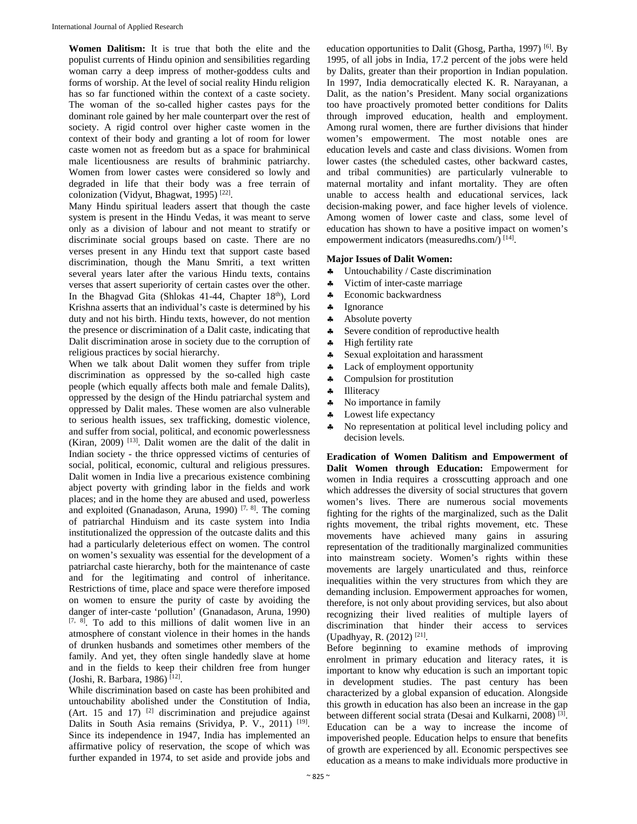**Women Dalitism:** It is true that both the elite and the populist currents of Hindu opinion and sensibilities regarding woman carry a deep impress of mother-goddess cults and forms of worship. At the level of social reality Hindu religion has so far functioned within the context of a caste society. The woman of the so-called higher castes pays for the dominant role gained by her male counterpart over the rest of society. A rigid control over higher caste women in the context of their body and granting a lot of room for lower caste women not as freedom but as a space for brahminical male licentiousness are results of brahminic patriarchy. Women from lower castes were considered so lowly and degraded in life that their body was a free terrain of colonization (Vidyut, Bhagwat, 1995) [22].

Many Hindu spiritual leaders assert that though the caste system is present in the Hindu Vedas, it was meant to serve only as a division of labour and not meant to stratify or discriminate social groups based on caste. There are no verses present in any Hindu text that support caste based discrimination, though the Manu Smriti, a text written several years later after the various Hindu texts, contains verses that assert superiority of certain castes over the other. In the Bhagvad Gita (Shlokas  $41-44$ , Chapter  $18<sup>th</sup>$ ), Lord Krishna asserts that an individual's caste is determined by his duty and not his birth. Hindu texts, however, do not mention the presence or discrimination of a Dalit caste, indicating that Dalit discrimination arose in society due to the corruption of religious practices by social hierarchy.

When we talk about Dalit women they suffer from triple discrimination as oppressed by the so-called high caste people (which equally affects both male and female Dalits), oppressed by the design of the Hindu patriarchal system and oppressed by Dalit males. These women are also vulnerable to serious health issues, sex trafficking, domestic violence, and suffer from social, political, and economic powerlessness (Kiran, 2009)  $^{[13]}$ . Dalit women are the dalit of the dalit in Indian society - the thrice oppressed victims of centuries of social, political, economic, cultural and religious pressures. Dalit women in India live a precarious existence combining abject poverty with grinding labor in the fields and work places; and in the home they are abused and used, powerless and exploited (Gnanadason, Aruna, 1990)  $[7, 8]$ . The coming of patriarchal Hinduism and its caste system into India institutionalized the oppression of the outcaste dalits and this had a particularly deleterious effect on women. The control on women's sexuality was essential for the development of a patriarchal caste hierarchy, both for the maintenance of caste and for the legitimating and control of inheritance. Restrictions of time, place and space were therefore imposed on women to ensure the purity of caste by avoiding the danger of inter-caste 'pollution' (Gnanadason, Aruna, 1990)  $[7, 8]$ . To add to this millions of dalit women live in an atmosphere of constant violence in their homes in the hands of drunken husbands and sometimes other members of the family. And yet, they often single handedly slave at home and in the fields to keep their children free from hunger (Joshi, R. Barbara, 1986) [12].

While discrimination based on caste has been prohibited and untouchability abolished under the Constitution of India, (Art. 15 and 17)  $[2]$  discrimination and prejudice against Dalits in South Asia remains (Srividya, P. V., 2011) [19]. Since its independence in 1947, India has implemented an affirmative policy of reservation, the scope of which was further expanded in 1974, to set aside and provide jobs and

education opportunities to Dalit (Ghosg, Partha, 1997) <sup>[6]</sup>. By 1995, of all jobs in India, 17.2 percent of the jobs were held by Dalits, greater than their proportion in Indian population. In 1997, India democratically elected K. R. Narayanan, a Dalit, as the nation's President. Many social organizations too have proactively promoted better conditions for Dalits through improved education, health and employment. Among rural women, there are further divisions that hinder women's empowerment. The most notable ones are education levels and caste and class divisions. Women from lower castes (the scheduled castes, other backward castes, and tribal communities) are particularly vulnerable to maternal mortality and infant mortality. They are often unable to access health and educational services, lack decision-making power, and face higher levels of violence. Among women of lower caste and class, some level of education has shown to have a positive impact on women's empowerment indicators (measuredhs.com/)<sup>[14]</sup>.

# **Major Issues of Dalit Women:**

- Untouchability / Caste discrimination
- Victim of inter-caste marriage
- \* Economic backwardness
- \* Ignorance
- \* Absolute poverty
- \* Severe condition of reproductive health
- High fertility rate
- \* Sexual exploitation and harassment
- Lack of employment opportunity
- \* Compulsion for prostitution
- **4** Illiteracy
- No importance in family
- Lowest life expectancy
- No representation at political level including policy and decision levels.

**Eradication of Women Dalitism and Empowerment of Dalit Women through Education:** Empowerment for women in India requires a crosscutting approach and one which addresses the diversity of social structures that govern women's lives. There are numerous social movements fighting for the rights of the marginalized, such as the Dalit rights movement, the tribal rights movement, etc. These movements have achieved many gains in assuring representation of the traditionally marginalized communities into mainstream society. Women's rights within these movements are largely unarticulated and thus, reinforce inequalities within the very structures from which they are demanding inclusion. Empowerment approaches for women, therefore, is not only about providing services, but also about recognizing their lived realities of multiple layers of discrimination that hinder their access to services (Upadhyay, R. (2012) [21].

Before beginning to examine methods of improving enrolment in primary education and literacy rates, it is important to know why education is such an important topic in development studies. The past century has been characterized by a global expansion of education. Alongside this growth in education has also been an increase in the gap between different social strata (Desai and Kulkarni, 2008)<sup>[3]</sup>. Education can be a way to increase the income of impoverished people. Education helps to ensure that benefits of growth are experienced by all. Economic perspectives see education as a means to make individuals more productive in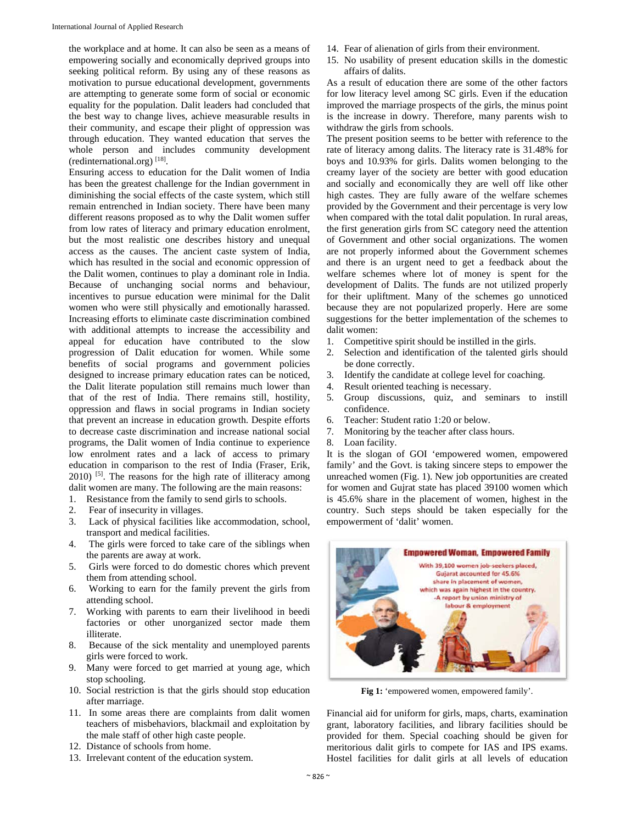the workplace and at home. It can also be seen as a means of empowering socially and economically deprived groups into seeking political reform. By using any of these reasons as motivation to pursue educational development, governments are attempting to generate some form of social or economic equality for the population. Dalit leaders had concluded that the best way to change lives, achieve measurable results in their community, and escape their plight of oppression was through education. They wanted education that serves the whole person and includes community development (redinternational.org) [18].

Ensuring access to education for the Dalit women of India has been the greatest challenge for the Indian government in diminishing the social effects of the caste system, which still remain entrenched in Indian society. There have been many different reasons proposed as to why the Dalit women suffer from low rates of literacy and primary education enrolment, but the most realistic one describes history and unequal access as the causes. The ancient caste system of India, which has resulted in the social and economic oppression of the Dalit women, continues to play a dominant role in India. Because of unchanging social norms and behaviour, incentives to pursue education were minimal for the Dalit women who were still physically and emotionally harassed. Increasing efforts to eliminate caste discrimination combined with additional attempts to increase the accessibility and appeal for education have contributed to the slow progression of Dalit education for women. While some benefits of social programs and government policies designed to increase primary education rates can be noticed, the Dalit literate population still remains much lower than that of the rest of India. There remains still, hostility, oppression and flaws in social programs in Indian society that prevent an increase in education growth. Despite efforts to decrease caste discrimination and increase national social programs, the Dalit women of India continue to experience low enrolment rates and a lack of access to primary education in comparison to the rest of India (Fraser, Erik,  $2010$ ) <sup>[5]</sup>. The reasons for the high rate of illiteracy among dalit women are many. The following are the main reasons:

- 1. Resistance from the family to send girls to schools.
- 2. Fear of insecurity in villages.
- 3. Lack of physical facilities like accommodation, school, transport and medical facilities.
- 4. The girls were forced to take care of the siblings when the parents are away at work.
- 5. Girls were forced to do domestic chores which prevent them from attending school.
- 6. Working to earn for the family prevent the girls from attending school.
- 7. Working with parents to earn their livelihood in beedi factories or other unorganized sector made them illiterate.
- 8. Because of the sick mentality and unemployed parents girls were forced to work.
- 9. Many were forced to get married at young age, which stop schooling.
- 10. Social restriction is that the girls should stop education after marriage.
- 11. In some areas there are complaints from dalit women teachers of misbehaviors, blackmail and exploitation by the male staff of other high caste people.
- 12. Distance of schools from home.
- 13. Irrelevant content of the education system.
- 14. Fear of alienation of girls from their environment.
- 15. No usability of present education skills in the domestic affairs of dalits.

As a result of education there are some of the other factors for low literacy level among SC girls. Even if the education improved the marriage prospects of the girls, the minus point is the increase in dowry. Therefore, many parents wish to withdraw the girls from schools.

The present position seems to be better with reference to the rate of literacy among dalits. The literacy rate is 31.48% for boys and 10.93% for girls. Dalits women belonging to the creamy layer of the society are better with good education and socially and economically they are well off like other high castes. They are fully aware of the welfare schemes provided by the Government and their percentage is very low when compared with the total dalit population. In rural areas, the first generation girls from SC category need the attention of Government and other social organizations. The women are not properly informed about the Government schemes and there is an urgent need to get a feedback about the welfare schemes where lot of money is spent for the development of Dalits. The funds are not utilized properly for their upliftment. Many of the schemes go unnoticed because they are not popularized properly. Here are some suggestions for the better implementation of the schemes to dalit women:

- 1. Competitive spirit should be instilled in the girls.
- 2. Selection and identification of the talented girls should be done correctly.
- 3. Identify the candidate at college level for coaching.
- 4. Result oriented teaching is necessary.
- 5. Group discussions, quiz, and seminars to instill confidence.
- 6. Teacher: Student ratio 1:20 or below.
- 7. Monitoring by the teacher after class hours.
- 8. Loan facility.

It is the slogan of GOI 'empowered women, empowered family' and the Govt. is taking sincere steps to empower the unreached women (Fig. 1). New job opportunities are created for women and Gujrat state has placed 39100 women which is 45.6% share in the placement of women, highest in the country. Such steps should be taken especially for the empowerment of 'dalit' women.



**Fig 1:** 'empowered women, empowered family'.

Financial aid for uniform for girls, maps, charts, examination grant, laboratory facilities, and library facilities should be provided for them. Special coaching should be given for meritorious dalit girls to compete for IAS and IPS exams. Hostel facilities for dalit girls at all levels of education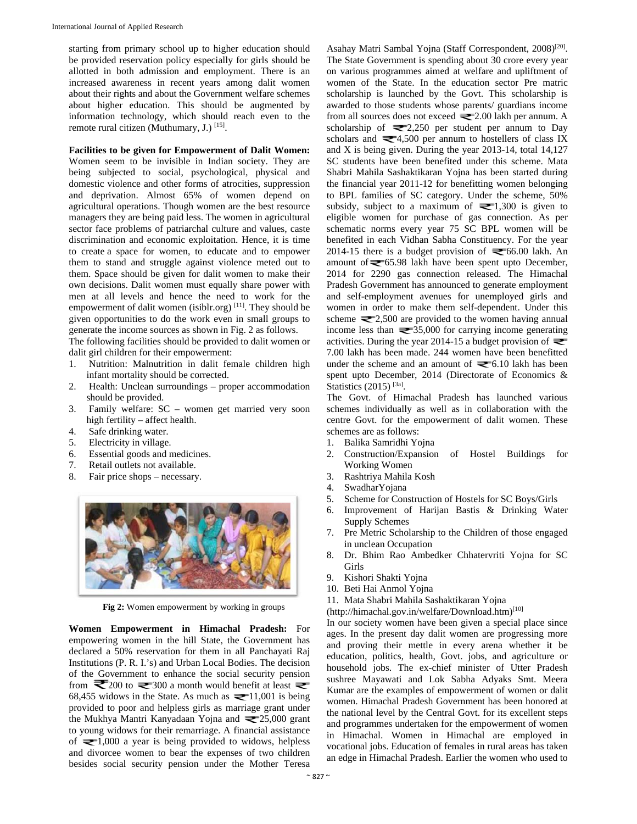starting from primary school up to higher education should be provided reservation policy especially for girls should be allotted in both admission and employment. There is an increased awareness in recent years among dalit women about their rights and about the Government welfare schemes about higher education. This should be augmented by information technology, which should reach even to the remote rural citizen (Muthumary, J.)<sup>[15]</sup>.

#### **Facilities to be given for Empowerment of Dalit Women:**

Women seem to be invisible in Indian society. They are being subjected to social, psychological, physical and domestic violence and other forms of atrocities, suppression and deprivation. Almost 65% of women depend on agricultural operations. Though women are the best resource managers they are being paid less. The women in agricultural sector face problems of patriarchal culture and values, caste discrimination and economic exploitation. Hence, it is time to create a space for women, to educate and to empower them to stand and struggle against violence meted out to them. Space should be given for dalit women to make their own decisions. Dalit women must equally share power with men at all levels and hence the need to work for the empowerment of dalit women (isiblr.org) [11]. They should be given opportunities to do the work even in small groups to generate the income sources as shown in Fig. 2 as follows.

The following facilities should be provided to dalit women or dalit girl children for their empowerment:

- 1. Nutrition: Malnutrition in dalit female children high infant mortality should be corrected.
- 2. Health: Unclean surroundings proper accommodation should be provided.
- 3. Family welfare: SC women get married very soon high fertility – affect health.
- 4. Safe drinking water.
- 5. Electricity in village.
- 6. Essential goods and medicines.
- 7. Retail outlets not available.
- 8. Fair price shops necessary.



**Fig 2:** Women empowerment by working in groups

**Women Empowerment in Himachal Pradesh:** For empowering women in the hill State, the Government has declared a 50% reservation for them in all Panchayati Raj Institutions (P. R. I.'s) and Urban Local Bodies. The decision of the Government to enhance the social security pension from  $\approx$  200 to  $\approx$  300 a month would benefit at least  $\approx$ 68,455 widows in the State. As much as  $\equiv$  11,001 is being provided to poor and helpless girls as marriage grant under the Mukhya Mantri Kanyadaan Yojna and  $\approx 25,000$  grant to young widows for their remarriage. A financial assistance of  $\equiv 1,000$  a year is being provided to widows, helpless and divorcee women to bear the expenses of two children besides social security pension under the Mother Teresa

Asahay Matri Sambal Yojna (Staff Correspondent, 2008)<sup>[20]</sup>. The State Government is spending about 30 crore every year on various programmes aimed at welfare and upliftment of women of the State. In the education sector Pre matric scholarship is launched by the Govt. This scholarship is awarded to those students whose parents/ guardians income from all sources does not exceed  $\equiv$  2.00 lakh per annum. A scholarship of  $\equiv 2,250$  per student per annum to Day scholars and  $\approx 4,500$  per annum to hostellers of class IX and X is being given. During the year 2013-14, total 14,127 SC students have been benefited under this scheme. Mata Shabri Mahila Sashaktikaran Yojna has been started during the financial year 2011-12 for benefitting women belonging to BPL families of SC category. Under the scheme, 50% subsidy, subject to a maximum of  $\equiv 1,300$  is given to eligible women for purchase of gas connection. As per schematic norms every year 75 SC BPL women will be benefited in each Vidhan Sabha Constituency. For the year 2014-15 there is a budget provision of  $\blacktriangleright$  66.00 lakh. An amount of  $\equiv 65.98$  lakh have been spent upto December, 2014 for 2290 gas connection released. The Himachal Pradesh Government has announced to generate employment and self-employment avenues for unemployed girls and women in order to make them self-dependent. Under this scheme  $\approx 2,500$  are provided to the women having annual income less than  $\approx 35,000$  for carrying income generating activities. During the year 2014-15 a budget provision of  $\blacktriangleright$ 7.00 lakh has been made. 244 women have been benefitted under the scheme and an amount of  $\leq 6.10$  lakh has been spent upto December, 2014 (Directorate of Economics & Statistics  $(2015)$ <sup>[3a]</sup>.

The Govt. of Himachal Pradesh has launched various schemes individually as well as in collaboration with the centre Govt. for the empowerment of dalit women. These schemes are as follows:

- 1. Balika Samridhi Yojna
- 2. Construction/Expansion of Hostel Buildings for Working Women
- 3. Rashtriya Mahila Kosh
- 4. SwadharYojana
- 5. Scheme for Construction of Hostels for SC Boys/Girls
- 6. Improvement of Harijan Bastis & Drinking Water Supply Schemes
- 7. Pre Metric Scholarship to the Children of those engaged in unclean Occupation
- 8. Dr. Bhim Rao Ambedker Chhatervriti Yojna for SC Girls
- 9. Kishori Shakti Yojna
- 10. Beti Hai Anmol Yojna

11. Mata Shabri Mahila Sashaktikaran Yojna

(http://himachal.gov.in/welfare/Download.htm)[10]

In our society women have been given a special place since ages. In the present day dalit women are progressing more and proving their mettle in every arena whether it be education, politics, health, Govt. jobs, and agriculture or household jobs. The ex-chief minister of Utter Pradesh sushree Mayawati and Lok Sabha Adyaks Smt. Meera Kumar are the examples of empowerment of women or dalit women. Himachal Pradesh Government has been honored at the national level by the Central Govt. for its excellent steps and programmes undertaken for the empowerment of women in Himachal. Women in Himachal are employed in vocational jobs. Education of females in rural areas has taken an edge in Himachal Pradesh. Earlier the women who used to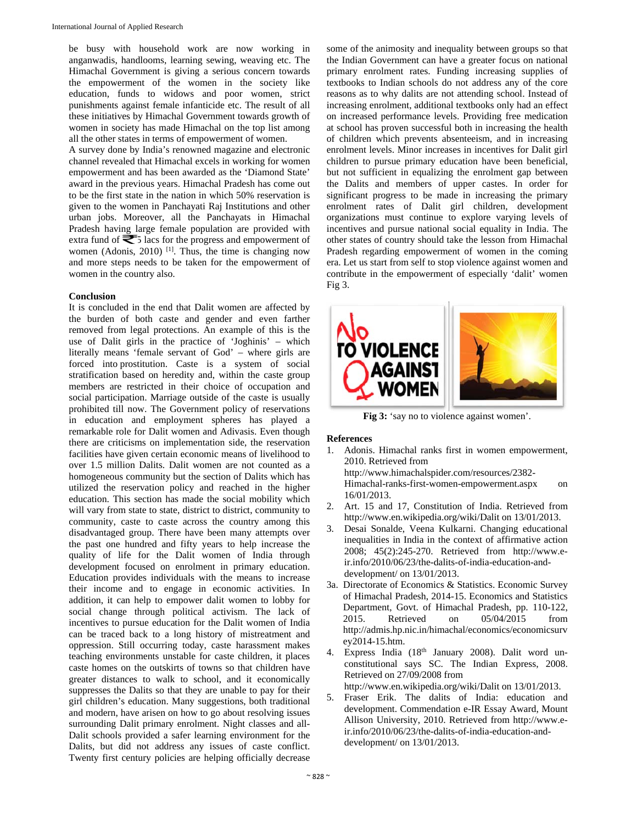be busy with household work are now working in anganwadis, handlooms, learning sewing, weaving etc. The Himachal Government is giving a serious concern towards the empowerment of the women in the society like education, funds to widows and poor women, strict punishments against female infanticide etc. The result of all these initiatives by Himachal Government towards growth of women in society has made Himachal on the top list among all the other states in terms of empowerment of women.

A survey done by India's renowned magazine and electronic channel revealed that Himachal excels in working for women empowerment and has been awarded as the 'Diamond State' award in the previous years. Himachal Pradesh has come out to be the first state in the nation in which 50% reservation is given to the women in Panchayati Raj Institutions and other urban jobs. Moreover, all the Panchayats in Himachal Pradesh having large female population are provided with extra fund of  $\leq 5$  lacs for the progress and empowerment of women (Adonis, 2010)<sup>[1]</sup>. Thus, the time is changing now and more steps needs to be taken for the empowerment of women in the country also.

## **Conclusion**

It is concluded in the end that Dalit women are affected by the burden of both caste and gender and even farther removed from legal protections. An example of this is the use of Dalit girls in the practice of 'Joghinis' – which literally means 'female servant of God' – where girls are forced into prostitution. Caste is a system of social stratification based on heredity and, within the caste group members are restricted in their choice of occupation and social participation. Marriage outside of the caste is usually prohibited till now. The Government policy of reservations in education and employment spheres has played a remarkable role for Dalit women and Adivasis. Even though there are criticisms on implementation side, the reservation facilities have given certain economic means of livelihood to over 1.5 million Dalits. Dalit women are not counted as a homogeneous community but the section of Dalits which has utilized the reservation policy and reached in the higher education. This section has made the social mobility which will vary from state to state, district to district, community to community, caste to caste across the country among this disadvantaged group. There have been many attempts over the past one hundred and fifty years to help increase the quality of life for the Dalit women of India through development focused on enrolment in primary education. Education provides individuals with the means to increase their income and to engage in economic activities. In addition, it can help to empower dalit women to lobby for social change through political activism. The lack of incentives to pursue education for the Dalit women of India can be traced back to a long history of mistreatment and oppression. Still occurring today, caste harassment makes teaching environments unstable for caste children, it places caste homes on the outskirts of towns so that children have greater distances to walk to school, and it economically suppresses the Dalits so that they are unable to pay for their girl children's education. Many suggestions, both traditional and modern, have arisen on how to go about resolving issues surrounding Dalit primary enrolment. Night classes and all-Dalit schools provided a safer learning environment for the Dalits, but did not address any issues of caste conflict. Twenty first century policies are helping officially decrease

some of the animosity and inequality between groups so that the Indian Government can have a greater focus on national primary enrolment rates. Funding increasing supplies of textbooks to Indian schools do not address any of the core reasons as to why dalits are not attending school. Instead of increasing enrolment, additional textbooks only had an effect on increased performance levels. Providing free medication at school has proven successful both in increasing the health of children which prevents absenteeism, and in increasing enrolment levels. Minor increases in incentives for Dalit girl children to pursue primary education have been beneficial, but not sufficient in equalizing the enrolment gap between the Dalits and members of upper castes. In order for significant progress to be made in increasing the primary enrolment rates of Dalit girl children, development organizations must continue to explore varying levels of incentives and pursue national social equality in India. The other states of country should take the lesson from Himachal Pradesh regarding empowerment of women in the coming era. Let us start from self to stop violence against women and contribute in the empowerment of especially 'dalit' women Fig 3.



Fig 3: 'say no to violence against women'.

# **References**

1. Adonis. Himachal ranks first in women empowerment, 2010. Retrieved from

http://www.himachalspider.com/resources/2382- Himachal-ranks-first-women-empowerment.aspx on 16/01/2013.

- 2. Art. 15 and 17, Constitution of India. Retrieved from http://www.en.wikipedia.org/wiki/Dalit on 13/01/2013.
- 3. Desai Sonalde, Veena Kulkarni. Changing educational inequalities in India in the context of affirmative action 2008; 45(2):245-270. Retrieved from http://www.eir.info/2010/06/23/the-dalits-of-india-education-anddevelopment/ on 13/01/2013.
- 3a. Directorate of Economics & Statistics. Economic Survey of Himachal Pradesh, 2014-15. Economics and Statistics Department, Govt. of Himachal Pradesh, pp. 110-122, 2015. Retrieved on 05/04/2015 from http://admis.hp.nic.in/himachal/economics/economicsurv ey2014-15.htm.
- 4. Express India (18<sup>th</sup> January 2008). Dalit word unconstitutional says SC. The Indian Express, 2008. Retrieved on 27/09/2008 from http://www.en.wikipedia.org/wiki/Dalit on 13/01/2013.
- 5. Fraser Erik. The dalits of India: education and development. Commendation e-IR Essay Award, Mount Allison University, 2010. Retrieved from http://www.eir.info/2010/06/23/the-dalits-of-india-education-anddevelopment/ on 13/01/2013.